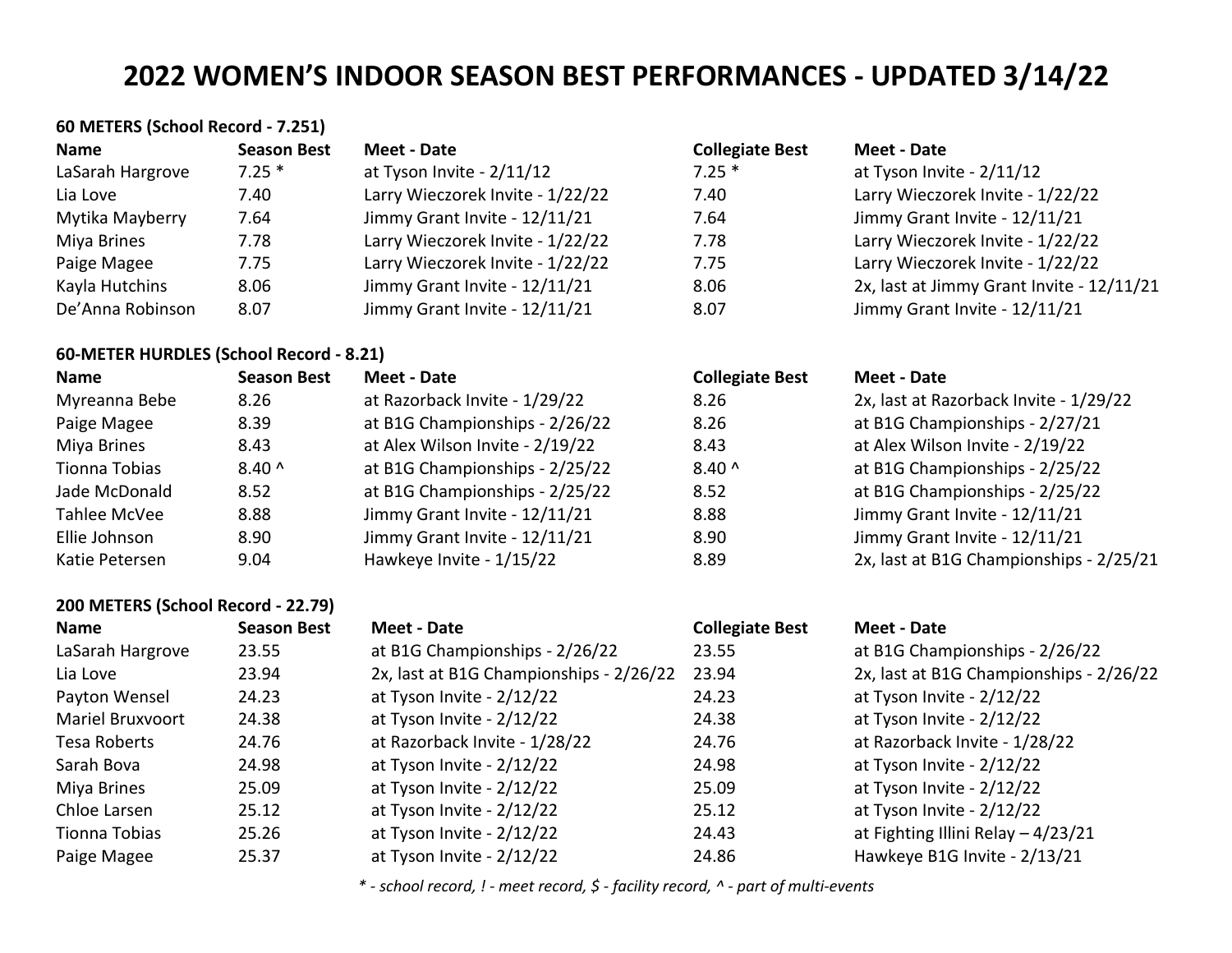| 60 METERS (School Record - 7.251) |                    |                                  |                        |                                           |  |
|-----------------------------------|--------------------|----------------------------------|------------------------|-------------------------------------------|--|
| Name                              | <b>Season Best</b> | Meet - Date                      | <b>Collegiate Best</b> | Meet - Date                               |  |
| LaSarah Hargrove                  | $7.25*$            | at Tyson Invite - 2/11/12        | $7.25*$                | at Tyson Invite - 2/11/12                 |  |
| Lia Love                          | 7.40               | Larry Wieczorek Invite - 1/22/22 | 7.40                   | Larry Wieczorek Invite - 1/22/22          |  |
| Mytika Mayberry                   | 7.64               | Jimmy Grant Invite - 12/11/21    | 7.64                   | Jimmy Grant Invite - 12/11/21             |  |
| Miya Brines                       | 7.78               | Larry Wieczorek Invite - 1/22/22 | 7.78                   | Larry Wieczorek Invite - 1/22/22          |  |
| Paige Magee                       | 7.75               | Larry Wieczorek Invite - 1/22/22 | 7.75                   | Larry Wieczorek Invite - 1/22/22          |  |
| Kayla Hutchins                    | 8.06               | Jimmy Grant Invite - 12/11/21    | 8.06                   | 2x, last at Jimmy Grant Invite - 12/11/21 |  |
| De'Anna Robinson                  | 8.07               | Jimmy Grant Invite - 12/11/21    | 8.07                   | Jimmy Grant Invite - 12/11/21             |  |

## **60-METER HURDLES (School Record - 8.21)**

| Name           | <b>Season Best</b> | Meet - Date                     | <b>Collegiate Best</b> | Meet - Date                             |
|----------------|--------------------|---------------------------------|------------------------|-----------------------------------------|
| Myreanna Bebe  | 8.26               | at Razorback Invite - 1/29/22   | 8.26                   | 2x, last at Razorback Invite - 1/29/22  |
| Paige Magee    | 8.39               | at B1G Championships - 2/26/22  | 8.26                   | at B1G Championships - 2/27/21          |
| Miya Brines    | 8.43               | at Alex Wilson Invite - 2/19/22 | 8.43                   | at Alex Wilson Invite - 2/19/22         |
| Tionna Tobias  | $8.40^{\circ}$     | at B1G Championships - 2/25/22  | $8.40^$                | at B1G Championships - 2/25/22          |
| Jade McDonald  | 8.52               | at B1G Championships - 2/25/22  | 8.52                   | at B1G Championships - 2/25/22          |
| Tahlee McVee   | 8.88               | Jimmy Grant Invite - 12/11/21   | 8.88                   | Jimmy Grant Invite - 12/11/21           |
| Ellie Johnson  | 8.90               | Jimmy Grant Invite - 12/11/21   | 8.90                   | Jimmy Grant Invite - 12/11/21           |
| Katie Petersen | 9.04               | Hawkeye Invite - 1/15/22        | 8.89                   | 2x, last at B1G Championships - 2/25/21 |

| 200 METERS (School Record - 22.79) |                    |                                         |                        |                                         |  |  |
|------------------------------------|--------------------|-----------------------------------------|------------------------|-----------------------------------------|--|--|
| <b>Name</b>                        | <b>Season Best</b> | Meet - Date                             | <b>Collegiate Best</b> | <b>Meet - Date</b>                      |  |  |
| LaSarah Hargrove                   | 23.55              | at B1G Championships - 2/26/22          | 23.55                  | at B1G Championships - 2/26/22          |  |  |
| Lia Love                           | 23.94              | 2x, last at B1G Championships - 2/26/22 | 23.94                  | 2x, last at B1G Championships - 2/26/22 |  |  |
| Payton Wensel                      | 24.23              | at Tyson Invite - 2/12/22               | 24.23                  | at Tyson Invite - 2/12/22               |  |  |
| <b>Mariel Bruxvoort</b>            | 24.38              | at Tyson Invite - 2/12/22               | 24.38                  | at Tyson Invite - 2/12/22               |  |  |
| Tesa Roberts                       | 24.76              | at Razorback Invite - 1/28/22           | 24.76                  | at Razorback Invite - 1/28/22           |  |  |
| Sarah Bova                         | 24.98              | at Tyson Invite - 2/12/22               | 24.98                  | at Tyson Invite - 2/12/22               |  |  |
| Miya Brines                        | 25.09              | at Tyson Invite - 2/12/22               | 25.09                  | at Tyson Invite - 2/12/22               |  |  |
| Chloe Larsen                       | 25.12              | at Tyson Invite - 2/12/22               | 25.12                  | at Tyson Invite - 2/12/22               |  |  |
| Tionna Tobias                      | 25.26              | at Tyson Invite - 2/12/22               | 24.43                  | at Fighting Illini Relay - 4/23/21      |  |  |
| Paige Magee                        | 25.37              | at Tyson Invite - 2/12/22               | 24.86                  | Hawkeye B1G Invite - 2/13/21            |  |  |

*\* - school record, ! - meet record, \$ - facility record, ^ - part of multi-events*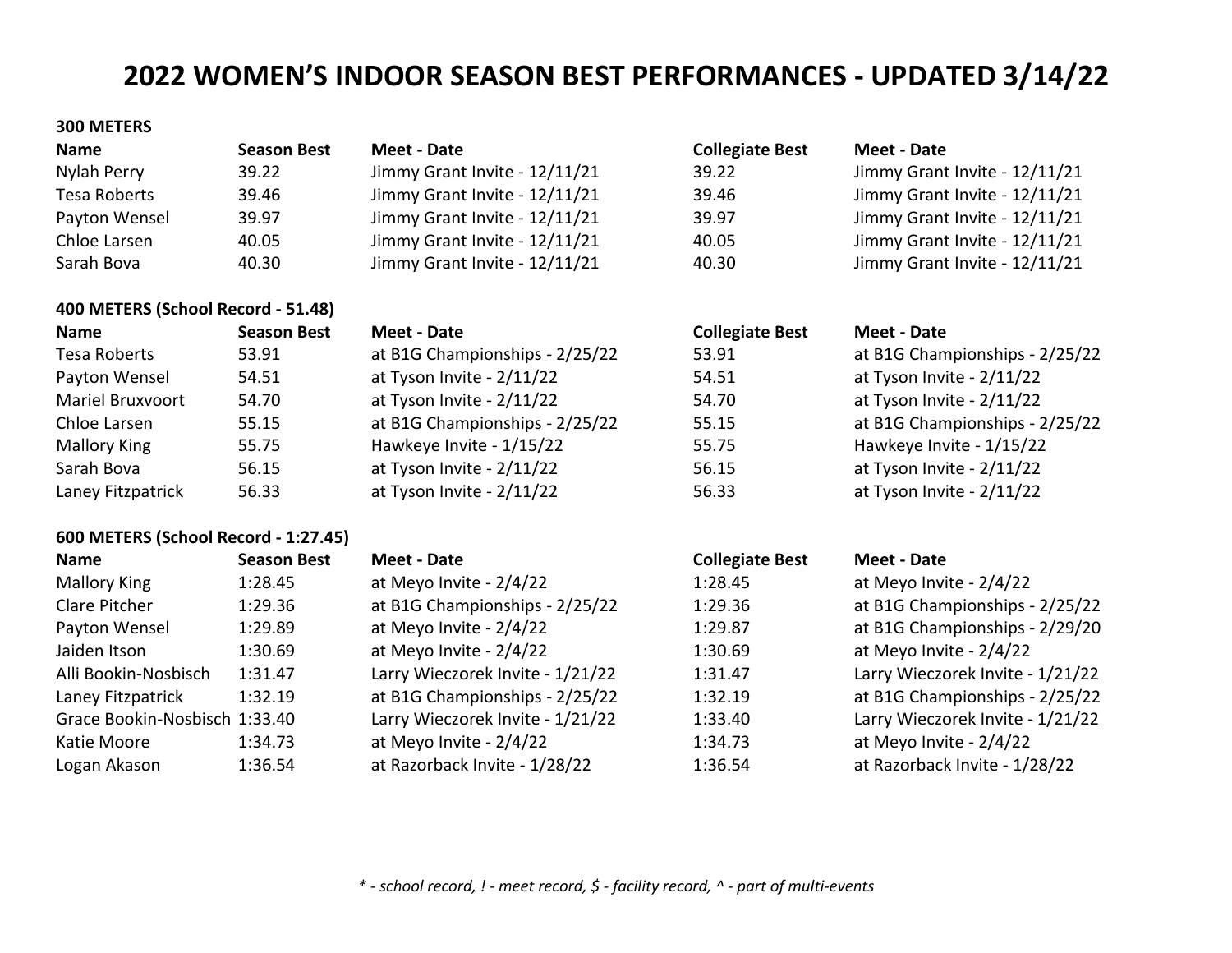## **300 METERS**

| <b>Name</b>   | <b>Season Best</b> | Meet - Date                   | <b>Collegiate Best</b> | Meet - Date                   |
|---------------|--------------------|-------------------------------|------------------------|-------------------------------|
| Nylah Perry   | 39.22              | Jimmy Grant Invite - 12/11/21 | 39.22                  | Jimmy Grant Invite - 12/11/21 |
| Tesa Roberts  | 39.46              | Jimmy Grant Invite - 12/11/21 | 39.46                  | Jimmy Grant Invite - 12/11/21 |
| Payton Wensel | 39.97              | Jimmy Grant Invite - 12/11/21 | 39.97                  | Jimmy Grant Invite - 12/11/21 |
| Chloe Larsen  | 40.05              | Jimmy Grant Invite - 12/11/21 | 40.05                  | Jimmy Grant Invite - 12/11/21 |
| Sarah Bova    | 40.30              | Jimmy Grant Invite - 12/11/21 | 40.30                  | Jimmy Grant Invite - 12/11/21 |

## **400 METERS (School Record - 51.48)**

| <b>Name</b>             | <b>Season Best</b> | Meet - Date                    | <b>Collegiate Best</b> | Meet - Date                    |
|-------------------------|--------------------|--------------------------------|------------------------|--------------------------------|
| Tesa Roberts            | 53.91              | at B1G Championships - 2/25/22 | 53.91                  | at B1G Championships - 2/25/22 |
| Payton Wensel           | 54.51              | at Tyson Invite - 2/11/22      | 54.51                  | at Tyson Invite - 2/11/22      |
| <b>Mariel Bruxvoort</b> | 54.70              | at Tyson Invite - 2/11/22      | 54.70                  | at Tyson Invite - 2/11/22      |
| Chloe Larsen            | 55.15              | at B1G Championships - 2/25/22 | 55.15                  | at B1G Championships - 2/25/22 |
| <b>Mallory King</b>     | 55.75              | Hawkeye Invite - 1/15/22       | 55.75                  | Hawkeye Invite - 1/15/22       |
| Sarah Bova              | 56.15              | at Tyson Invite - 2/11/22      | 56.15                  | at Tyson Invite - 2/11/22      |
| Laney Fitzpatrick       | 56.33              | at Tyson Invite - 2/11/22      | 56.33                  | at Tyson Invite - 2/11/22      |

## **600 METERS (School Record - 1:27.45)**

| <b>Name</b>                   | <b>Season Best</b> | Meet - Date                      | <b>Collegiate Best</b> | Meet - Date                      |
|-------------------------------|--------------------|----------------------------------|------------------------|----------------------------------|
| <b>Mallory King</b>           | 1:28.45            | at Meyo Invite - 2/4/22          | 1:28.45                | at Meyo Invite - 2/4/22          |
| Clare Pitcher                 | 1:29.36            | at B1G Championships - 2/25/22   | 1:29.36                | at B1G Championships - 2/25/22   |
| Payton Wensel                 | 1:29.89            | at Meyo Invite - 2/4/22          | 1:29.87                | at B1G Championships - 2/29/20   |
| Jaiden Itson                  | 1:30.69            | at Meyo Invite - 2/4/22          | 1:30.69                | at Meyo Invite - 2/4/22          |
| Alli Bookin-Nosbisch          | 1:31.47            | Larry Wieczorek Invite - 1/21/22 | 1:31.47                | Larry Wieczorek Invite - 1/21/22 |
| Laney Fitzpatrick             | 1:32.19            | at B1G Championships - 2/25/22   | 1:32.19                | at B1G Championships - 2/25/22   |
| Grace Bookin-Nosbisch 1:33.40 |                    | Larry Wieczorek Invite - 1/21/22 | 1:33.40                | Larry Wieczorek Invite - 1/21/22 |
| Katie Moore                   | 1:34.73            | at Meyo Invite - 2/4/22          | 1:34.73                | at Meyo Invite - 2/4/22          |
| Logan Akason                  | 1:36.54            | at Razorback Invite - 1/28/22    | 1:36.54                | at Razorback Invite - 1/28/22    |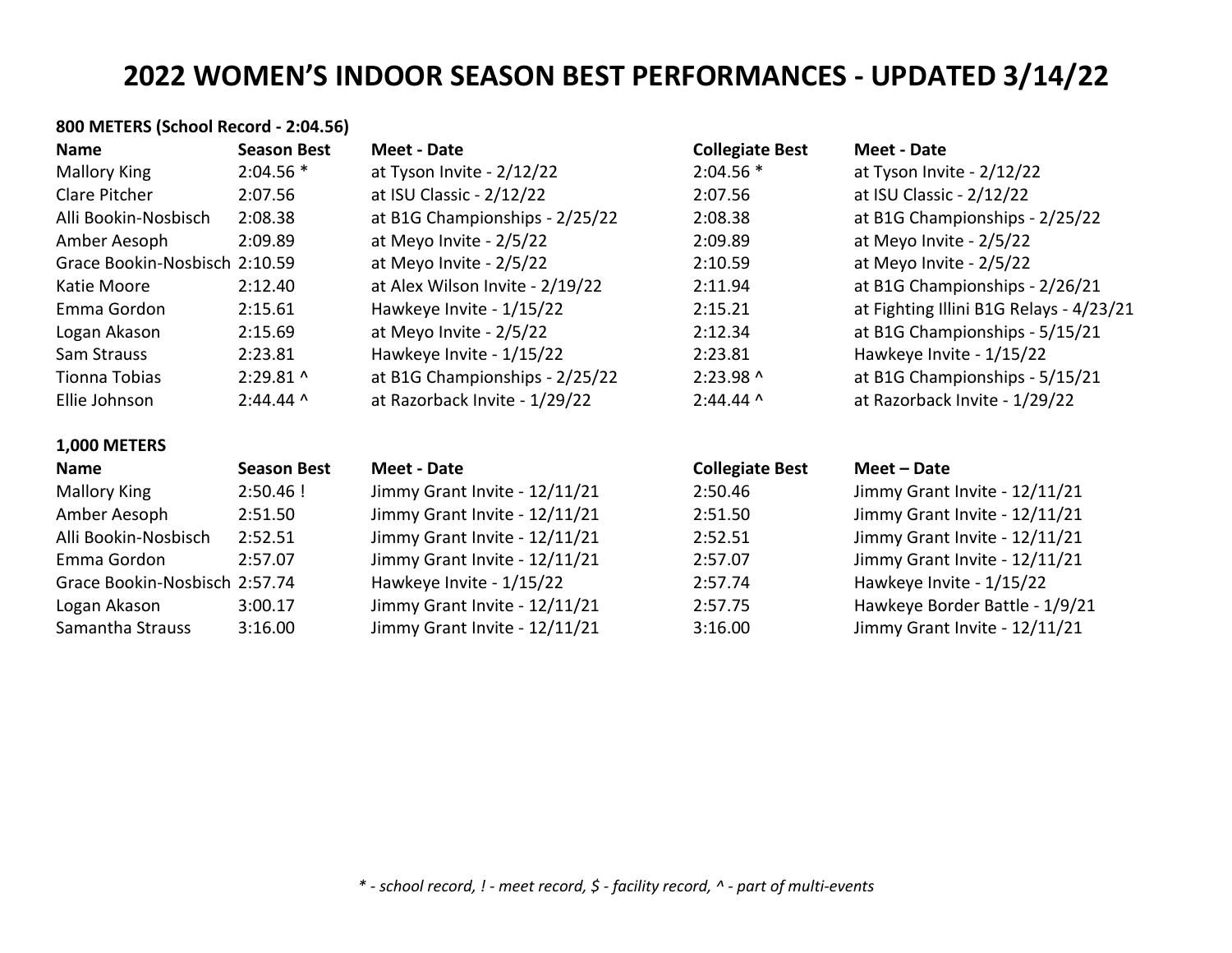| 800 METERS (School Record - 2:04.56) |                    |                                 |                        |                                         |
|--------------------------------------|--------------------|---------------------------------|------------------------|-----------------------------------------|
| Name                                 | <b>Season Best</b> | Meet - Date                     | <b>Collegiate Best</b> | <b>Meet - Date</b>                      |
| <b>Mallory King</b>                  | $2:04.56*$         | at Tyson Invite - 2/12/22       | $2:04.56*$             | at Tyson Invite - $2/12/22$             |
| Clare Pitcher                        | 2:07.56            | at ISU Classic - 2/12/22        | 2:07.56                | at ISU Classic - 2/12/22                |
| Alli Bookin-Nosbisch                 | 2:08.38            | at B1G Championships - 2/25/22  | 2:08.38                | at B1G Championships - 2/25/22          |
| Amber Aesoph                         | 2:09.89            | at Meyo Invite - 2/5/22         | 2:09.89                | at Meyo Invite - 2/5/22                 |
| Grace Bookin-Nosbisch 2:10.59        |                    | at Meyo Invite - 2/5/22         | 2:10.59                | at Meyo Invite - 2/5/22                 |
| Katie Moore                          | 2:12.40            | at Alex Wilson Invite - 2/19/22 | 2:11.94                | at B1G Championships - 2/26/21          |
| Emma Gordon                          | 2:15.61            | Hawkeye Invite - 1/15/22        | 2:15.21                | at Fighting Illini B1G Relays - 4/23/21 |
| Logan Akason                         | 2:15.69            | at Meyo Invite - 2/5/22         | 2:12.34                | at B1G Championships - 5/15/21          |
| Sam Strauss                          | 2:23.81            | Hawkeye Invite - 1/15/22        | 2:23.81                | Hawkeye Invite - 1/15/22                |
| Tionna Tobias                        | 2:29.81 ^          | at B1G Championships - 2/25/22  | 2:23.98 ^              | at B1G Championships - 5/15/21          |
| Ellie Johnson                        | $2:44.44$ ^        | at Razorback Invite - 1/29/22   | $2:44.44$ ^            | at Razorback Invite - 1/29/22           |
| 1,000 METERS                         |                    |                                 |                        |                                         |
| Name                                 | <b>Season Best</b> | Meet - Date                     | <b>Collegiate Best</b> | Meet - Date                             |
| <b>Mallory King</b>                  | $2:50.46$ !        | Jimmy Grant Invite - 12/11/21   | 2:50.46                | Jimmy Grant Invite - 12/11/21           |
| Amber Aesoph                         | 2:51.50            | Jimmy Grant Invite - 12/11/21   | 2:51.50                | Jimmy Grant Invite - 12/11/21           |
| Alli Bookin-Nosbisch                 | 2:52.51            | Jimmy Grant Invite - 12/11/21   | 2:52.51                | Jimmy Grant Invite - 12/11/21           |
| Emma Gordon                          | 2:57.07            | Jimmy Grant Invite - 12/11/21   | 2:57.07                | Jimmy Grant Invite - 12/11/21           |
| Grace Bookin-Nosbisch 2:57.74        |                    | Hawkeye Invite - 1/15/22        | 2:57.74                | Hawkeye Invite - 1/15/22                |
| Logan Akason                         | 3:00.17            | Jimmy Grant Invite - 12/11/21   | 2:57.75                | Hawkeye Border Battle - 1/9/21          |
| Samantha Strauss                     | 3:16.00            | Jimmy Grant Invite - 12/11/21   | 3:16.00                | Jimmy Grant Invite - 12/11/21           |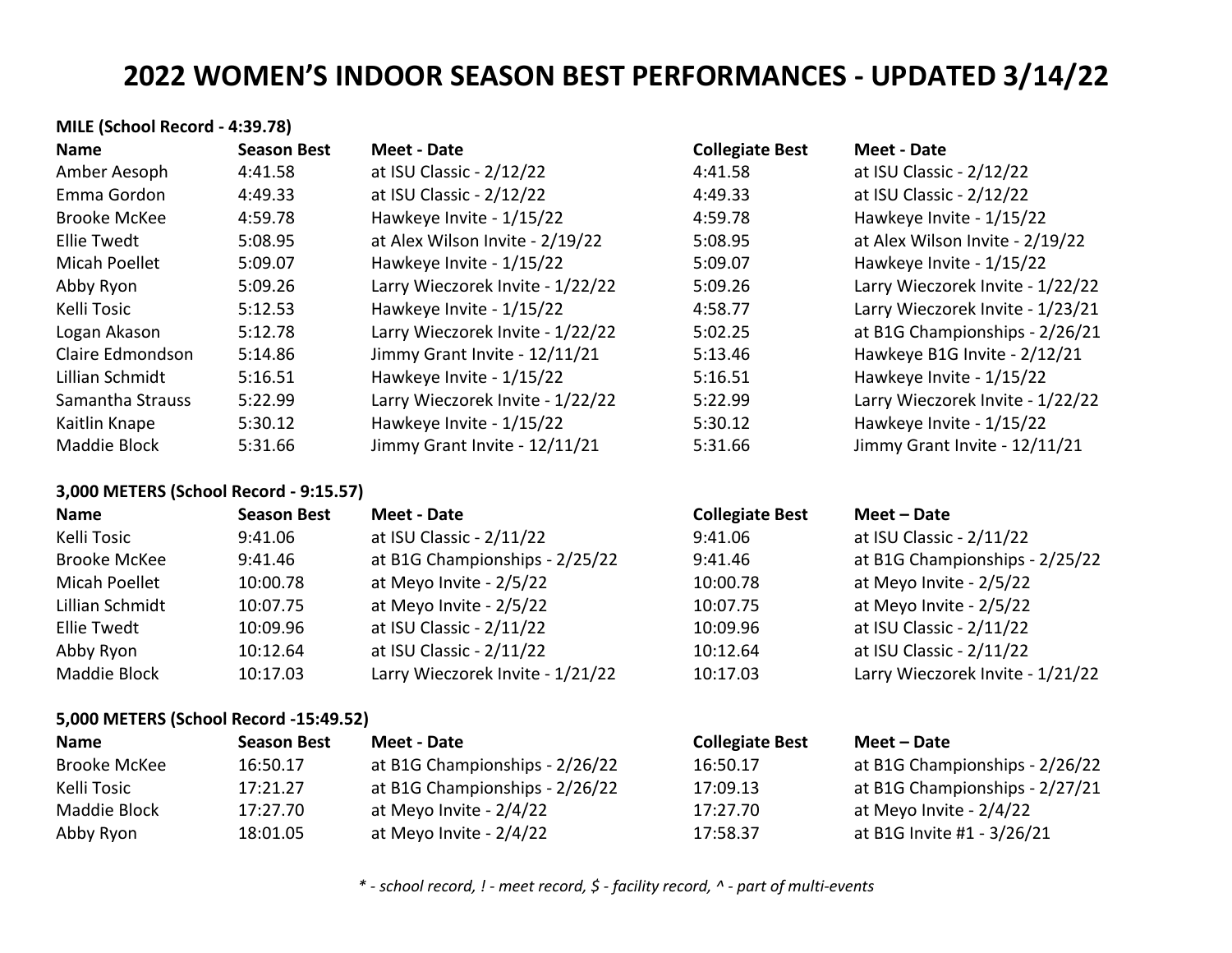| MILE (School Record - 4:39.78)         |                    |                                  |                        |                                  |
|----------------------------------------|--------------------|----------------------------------|------------------------|----------------------------------|
| <b>Name</b>                            | <b>Season Best</b> | <b>Meet - Date</b>               | <b>Collegiate Best</b> | <b>Meet - Date</b>               |
| Amber Aesoph                           | 4:41.58            | at ISU Classic - 2/12/22         | 4:41.58                | at ISU Classic - 2/12/22         |
| Emma Gordon                            | 4:49.33            | at ISU Classic - 2/12/22         | 4:49.33                | at ISU Classic - 2/12/22         |
| <b>Brooke McKee</b>                    | 4:59.78            | Hawkeye Invite - 1/15/22         | 4:59.78                | Hawkeye Invite - 1/15/22         |
| <b>Ellie Twedt</b>                     | 5:08.95            | at Alex Wilson Invite - 2/19/22  | 5:08.95                | at Alex Wilson Invite - 2/19/22  |
| Micah Poellet                          | 5:09.07            | Hawkeye Invite - 1/15/22         | 5:09.07                | Hawkeye Invite - 1/15/22         |
| Abby Ryon                              | 5:09.26            | Larry Wieczorek Invite - 1/22/22 | 5:09.26                | Larry Wieczorek Invite - 1/22/22 |
| Kelli Tosic                            | 5:12.53            | Hawkeye Invite - 1/15/22         | 4:58.77                | Larry Wieczorek Invite - 1/23/21 |
| Logan Akason                           | 5:12.78            | Larry Wieczorek Invite - 1/22/22 | 5:02.25                | at B1G Championships - 2/26/21   |
| Claire Edmondson                       | 5:14.86            | Jimmy Grant Invite - 12/11/21    | 5:13.46                | Hawkeye B1G Invite - 2/12/21     |
| Lillian Schmidt                        | 5:16.51            | Hawkeye Invite - 1/15/22         | 5:16.51                | Hawkeye Invite - 1/15/22         |
| Samantha Strauss                       | 5:22.99            | Larry Wieczorek Invite - 1/22/22 | 5:22.99                | Larry Wieczorek Invite - 1/22/22 |
| Kaitlin Knape                          | 5:30.12            | Hawkeye Invite - 1/15/22         | 5:30.12                | Hawkeye Invite - 1/15/22         |
| Maddie Block                           | 5:31.66            | Jimmy Grant Invite - 12/11/21    | 5:31.66                | Jimmy Grant Invite - 12/11/21    |
| 3,000 METERS (School Record - 9:15.57) |                    |                                  |                        |                                  |
| <b>Name</b>                            | <b>Season Best</b> | <b>Meet - Date</b>               | <b>Collegiate Best</b> | Meet - Date                      |
| Kelli Tosic                            | 9:41.06            | at ISU Classic - 2/11/22         | 9:41.06                | at ISU Classic - 2/11/22         |
| <b>Brooke McKee</b>                    | 9:41.46            | at B1G Championships - 2/25/22   | 9:41.46                | at B1G Championships - 2/25/22   |
| Micah Poellet                          | 10:00.78           | at Meyo Invite - 2/5/22          | 10:00.78               | at Meyo Invite - 2/5/22          |
| Lillian Schmidt                        | 10:07.75           | at Meyo Invite - 2/5/22          | 10:07.75               | at Meyo Invite - 2/5/22          |
| <b>Ellie Twedt</b>                     | 10:09.96           | at ISU Classic - 2/11/22         | 10:09.96               | at ISU Classic - 2/11/22         |
| Abby Ryon                              | 10:12.64           | at ISU Classic - 2/11/22         | 10:12.64               | at ISU Classic - 2/11/22         |
| Maddie Block                           | 10:17.03           | Larry Wieczorek Invite - 1/21/22 | 10:17.03               | Larry Wieczorek Invite - 1/21/22 |
| 5,000 METERS (School Record -15:49.52) |                    |                                  |                        |                                  |
| <b>Name</b>                            | <b>Season Best</b> | <b>Meet - Date</b>               | <b>Collegiate Best</b> | Meet - Date                      |
| <b>Brooke McKee</b>                    | 16:50.17           | at B1G Championships - 2/26/22   | 16:50.17               | at B1G Championships - 2/26/22   |
| Kelli Tosic                            | 17:21.27           | at B1G Championships - 2/26/22   | 17:09.13               | at B1G Championships - 2/27/21   |
| Maddie Block                           | 17:27.70           | at Meyo Invite - 2/4/22          | 17:27.70               | at Meyo Invite - 2/4/22          |

*\* - school record, ! - meet record, \$ - facility record, ^ - part of multi-events*

Abby Ryon 18:01.05 at Meyo Invite - 2/4/22 17:58.37 at B1G Invite #1 - 3/26/21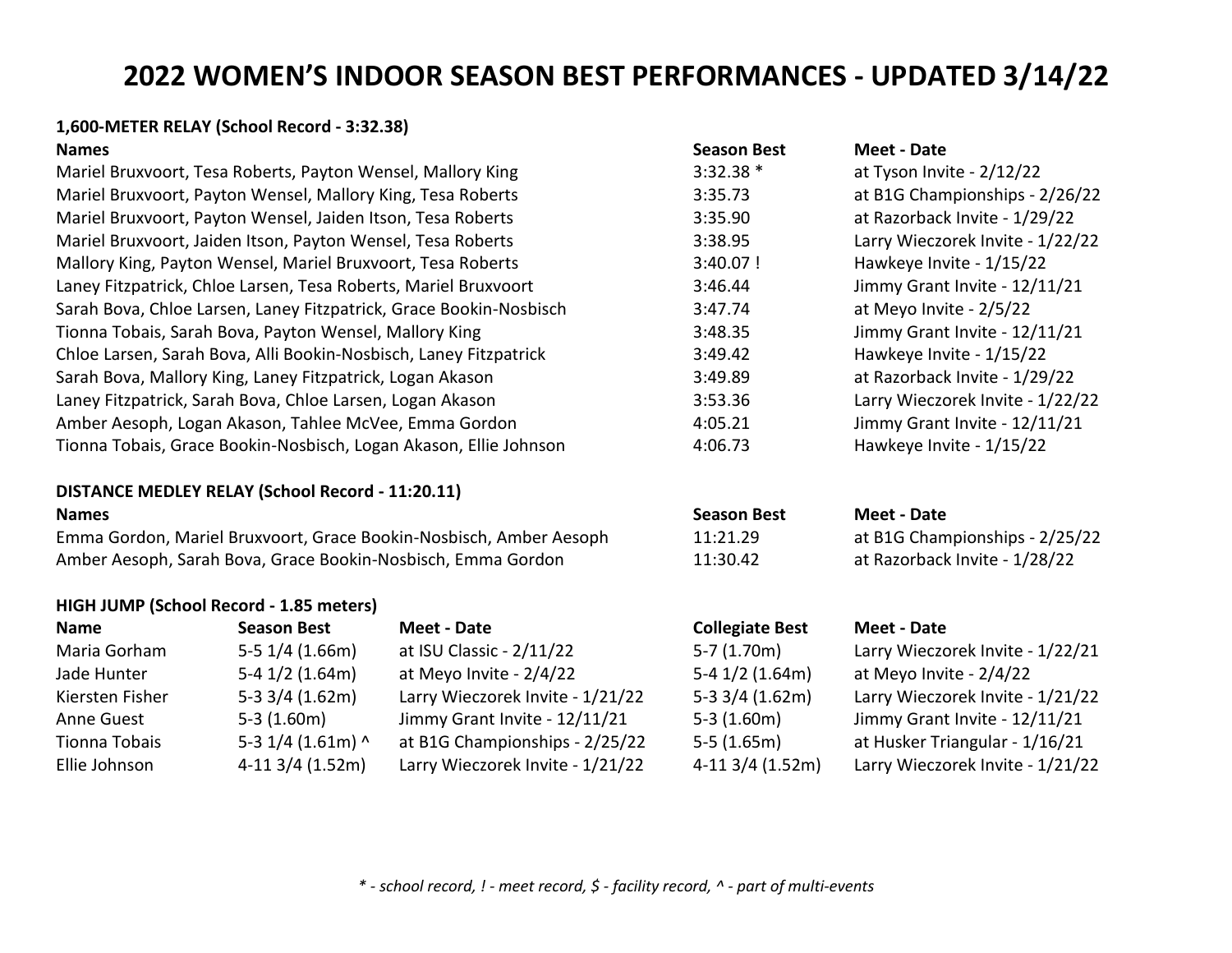# **1,600-METER RELAY (School Record - 3:32.38)**

## **DISTANCE MEDLEY RELAY (School Record - 11:20.11)**

Emma Gordon, Mariel Bruxvoort, Grace Bookin-Nosbisch, Amber Aesoph 11:21.29 at B1G Championships - 2/25/22 Amber Aesoph, Sarah Bova, Grace Bookin-Nosbisch, Emma Gordon 11:30.42 at Razorback Invite - 1/28/22

## **HIGH JUMP (School Record - 1.85 meters)**

| <b>Name</b>     | <b>Season Best</b>    | Meet - Date                      | <b>Collegiate Best</b> | Meet - Date                      |
|-----------------|-----------------------|----------------------------------|------------------------|----------------------------------|
| Maria Gorham    | $5-5$ $1/4$ $(1.66m)$ | at ISU Classic - 2/11/22         | $5-7(1.70m)$           | Larry Wieczorek Invite - 1/22/21 |
| Jade Hunter     | $5-4$ 1/2 (1.64m)     | at Meyo Invite - 2/4/22          | $5-4$ 1/2 (1.64m)      | at Meyo Invite - 2/4/22          |
| Kiersten Fisher | $5-3$ 3/4 (1.62m)     | Larry Wieczorek Invite - 1/21/22 | $5-3$ 3/4 (1.62m)      | Larry Wieczorek Invite - 1/21/22 |
| Anne Guest      | $5-3(1.60m)$          | Jimmy Grant Invite - 12/11/21    | $5-3(1.60m)$           | Jimmy Grant Invite - 12/11/21    |
| Tionna Tobais   | 5-3 $1/4$ (1.61m) ^   | at B1G Championships - 2/25/22   | $5-5(1.65m)$           | at Husker Triangular - 1/16/21   |
| Ellie Johnson   | $4-11$ 3/4 (1.52m)    | Larry Wieczorek Invite - 1/21/22 | $4-113/4(1.52m)$       | Larry Wieczorek Invite - 1/21/22 |

| <b>Names</b>                                                       | <b>Season Best</b> | <b>Meet - Date</b>               |
|--------------------------------------------------------------------|--------------------|----------------------------------|
| Mariel Bruxvoort, Tesa Roberts, Payton Wensel, Mallory King        | $3:32.38*$         | at Tyson Invite - 2/12/22        |
| Mariel Bruxvoort, Payton Wensel, Mallory King, Tesa Roberts        | 3:35.73            | at B1G Championships - 2/26/22   |
| Mariel Bruxvoort, Payton Wensel, Jaiden Itson, Tesa Roberts        | 3:35.90            | at Razorback Invite - 1/29/22    |
| Mariel Bruxvoort, Jaiden Itson, Payton Wensel, Tesa Roberts        | 3:38.95            | Larry Wieczorek Invite - 1/22/22 |
| Mallory King, Payton Wensel, Mariel Bruxvoort, Tesa Roberts        | $3:40.07$ !        | Hawkeye Invite - 1/15/22         |
| Laney Fitzpatrick, Chloe Larsen, Tesa Roberts, Mariel Bruxvoort    | 3:46.44            | Jimmy Grant Invite - 12/11/21    |
| Sarah Bova, Chloe Larsen, Laney Fitzpatrick, Grace Bookin-Nosbisch | 3:47.74            | at Meyo Invite - 2/5/22          |
| Tionna Tobais, Sarah Bova, Payton Wensel, Mallory King             | 3:48.35            | Jimmy Grant Invite - 12/11/21    |
| Chloe Larsen, Sarah Bova, Alli Bookin-Nosbisch, Laney Fitzpatrick  | 3:49.42            | Hawkeye Invite - 1/15/22         |
| Sarah Bova, Mallory King, Laney Fitzpatrick, Logan Akason          | 3:49.89            | at Razorback Invite - 1/29/22    |
| Laney Fitzpatrick, Sarah Bova, Chloe Larsen, Logan Akason          | 3:53.36            | Larry Wieczorek Invite - 1/22/22 |
| Amber Aesoph, Logan Akason, Tahlee McVee, Emma Gordon              | 4:05.21            | Jimmy Grant Invite - 12/11/21    |
| Tionna Tobais, Grace Bookin-Nosbisch, Logan Akason, Ellie Johnson  | 4:06.73            | Hawkeye Invite - 1/15/22         |
|                                                                    |                    |                                  |

## **Names Season Best Meet - Date**

| Larry Wieczorek Invite - 1/22/21 |
|----------------------------------|
| at Meyo Invite - 2/4/22          |
| Larry Wieczorek Invite - 1/21/22 |
| Jimmy Grant Invite - 12/11/21    |
| at Husker Triangular - 1/16/21   |
| Larry Wieczorek Invite - 1/21/22 |
|                                  |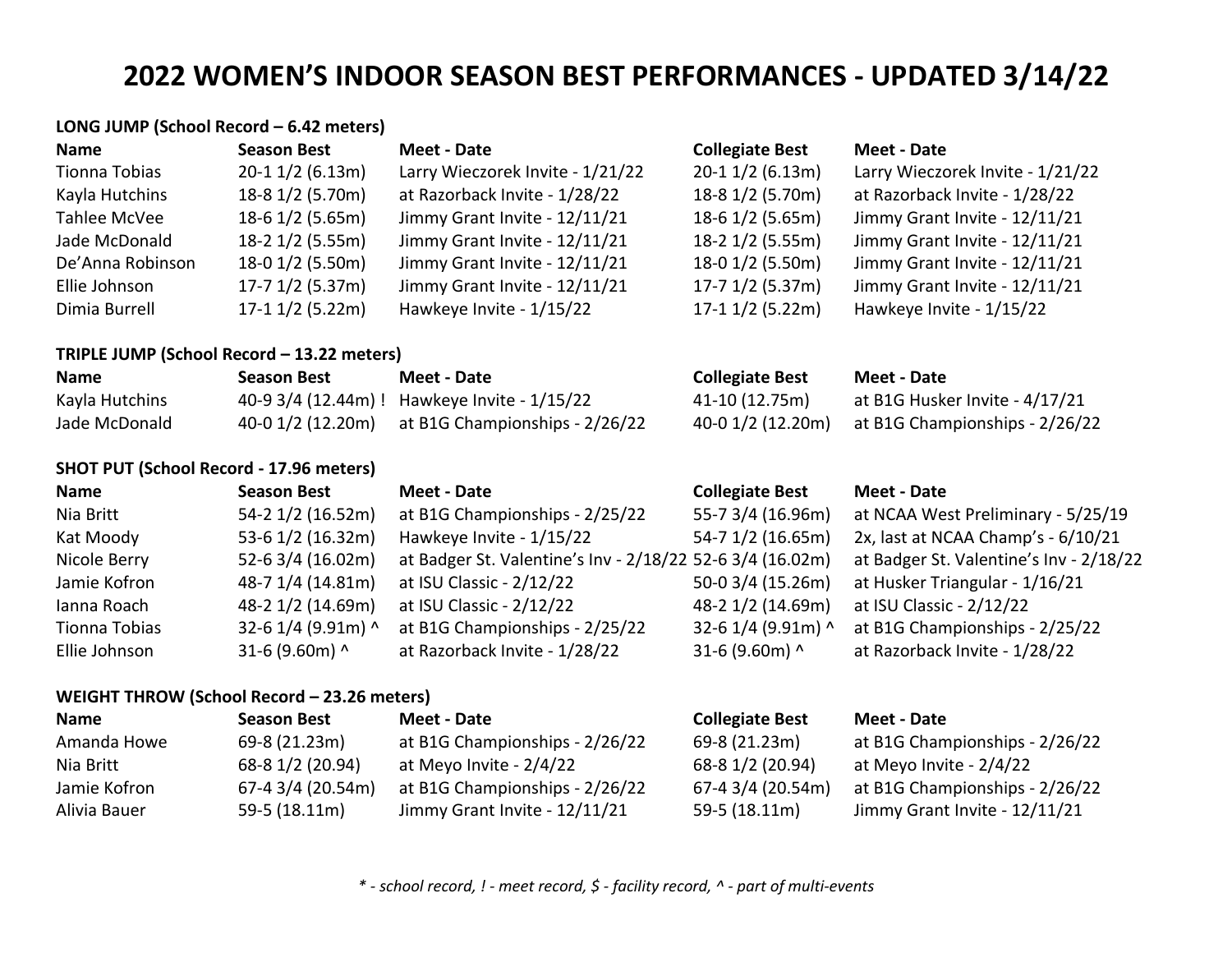|                  | LONG JUMP (School Record - 6.42 meters)        |                                                           |                        |                                         |
|------------------|------------------------------------------------|-----------------------------------------------------------|------------------------|-----------------------------------------|
| <b>Name</b>      | <b>Season Best</b>                             | <b>Meet - Date</b>                                        | <b>Collegiate Best</b> | <b>Meet - Date</b>                      |
| Tionna Tobias    | $20-1$ 1/2 (6.13m)                             | Larry Wieczorek Invite - 1/21/22                          | $20-1$ 1/2 (6.13m)     | Larry Wieczorek Invite - 1/21/22        |
| Kayla Hutchins   | 18-8 1/2 (5.70m)                               | at Razorback Invite - 1/28/22                             | 18-8 1/2 (5.70m)       | at Razorback Invite - 1/28/22           |
| Tahlee McVee     | 18-6 1/2 (5.65m)                               | Jimmy Grant Invite - 12/11/21                             | 18-6 1/2 (5.65m)       | Jimmy Grant Invite - 12/11/21           |
| Jade McDonald    | 18-2 1/2 (5.55m)                               | Jimmy Grant Invite - 12/11/21                             | 18-2 1/2 (5.55m)       | Jimmy Grant Invite - 12/11/21           |
| De'Anna Robinson | 18-0 1/2 (5.50m)                               | Jimmy Grant Invite - 12/11/21                             | 18-0 1/2 (5.50m)       | Jimmy Grant Invite - 12/11/21           |
| Ellie Johnson    | $17 - 7$ $1/2$ (5.37m)                         | Jimmy Grant Invite - 12/11/21                             | $17 - 7$ $1/2$ (5.37m) | Jimmy Grant Invite - 12/11/21           |
| Dimia Burrell    | $17-1$ $1/2$ (5.22m)                           | Hawkeye Invite - 1/15/22                                  | $17-1$ $1/2$ (5.22m)   | Hawkeye Invite - 1/15/22                |
|                  | TRIPLE JUMP (School Record - 13.22 meters)     |                                                           |                        |                                         |
| <b>Name</b>      | <b>Season Best</b>                             | <b>Meet - Date</b>                                        | <b>Collegiate Best</b> | <b>Meet - Date</b>                      |
| Kayla Hutchins   | 40-9 3/4 (12.44m) !                            | Hawkeye Invite - 1/15/22                                  | 41-10 (12.75m)         | at B1G Husker Invite - 4/17/21          |
| Jade McDonald    | 40-0 1/2 (12.20m)                              | at B1G Championships - 2/26/22                            | 40-0 1/2 (12.20m)      | at B1G Championships - 2/26/22          |
|                  | <b>SHOT PUT (School Record - 17.96 meters)</b> |                                                           |                        |                                         |
| <b>Name</b>      | <b>Season Best</b>                             | <b>Meet - Date</b>                                        | <b>Collegiate Best</b> | <b>Meet - Date</b>                      |
| Nia Britt        | 54-2 1/2 (16.52m)                              | at B1G Championships - 2/25/22                            | 55-7 3/4 (16.96m)      | at NCAA West Preliminary - 5/25/19      |
| Kat Moody        | 53-6 1/2 (16.32m)                              | Hawkeye Invite - 1/15/22                                  | 54-7 1/2 (16.65m)      | 2x, last at NCAA Champ's - 6/10/21      |
| Nicole Berry     | 52-6 3/4 (16.02m)                              | at Badger St. Valentine's Inv - 2/18/22 52-6 3/4 (16.02m) |                        | at Badger St. Valentine's Inv - 2/18/22 |
| Jamie Kofron     | 48-7 1/4 (14.81m)                              | at ISU Classic - 2/12/22                                  | 50-0 3/4 (15.26m)      | at Husker Triangular - 1/16/21          |
| Ianna Roach      | 48-2 1/2 (14.69m)                              | at ISU Classic - 2/12/22                                  | 48-2 1/2 (14.69m)      | at ISU Classic - 2/12/22                |
| Tionna Tobias    | 32-6 1/4 (9.91m) ^                             | at B1G Championships - 2/25/22                            | 32-6 1/4 (9.91m) ^     | at B1G Championships - 2/25/22          |
| Ellie Johnson    | 31-6 (9.60m) ^                                 | at Razorback Invite - 1/28/22                             | 31-6 (9.60m) ^         | at Razorback Invite - 1/28/22           |
|                  | WEIGHT THROW (School Record - 23.26 meters)    |                                                           |                        |                                         |
| <b>Name</b>      | <b>Season Best</b>                             | <b>Meet - Date</b>                                        | <b>Collegiate Best</b> | <b>Meet - Date</b>                      |
|                  |                                                |                                                           |                        |                                         |

| <b>Name</b>  | <b>Season Best</b> | Meet - Date                    | <b>Collegiate Best</b> | Meet - Date                    |
|--------------|--------------------|--------------------------------|------------------------|--------------------------------|
| Amanda Howe  | 69-8 (21.23m)      | at B1G Championships - 2/26/22 | 69-8 (21.23m)          | at B1G Championships - 2/26/22 |
| Nia Britt    | 68-8 1/2 (20.94)   | at Meyo Invite - $2/4/22$      | 68-8 1/2 (20.94)       | at Meyo Invite - $2/4/22$      |
| Jamie Kofron | 67-4 3/4 (20.54m)  | at B1G Championships - 2/26/22 | 67-4 3/4 (20.54m)      | at B1G Championships - 2/26/22 |
| Alivia Bauer | $59-5(18.11m)$     | Jimmy Grant Invite - 12/11/21  | $59-5(18.11m)$         | Jimmy Grant Invite - 12/11/21  |